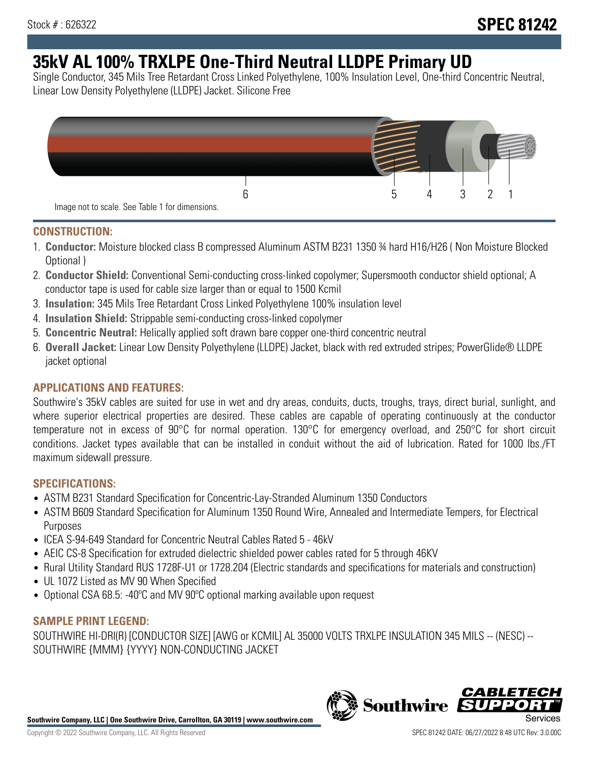# **35kV AL 100% TRXLPE One-Third Neutral LLDPE Primary UD**

Single Conductor, 345 Mils Tree Retardant Cross Linked Polyethylene, 100% Insulation Level, One-third Concentric Neutral, Linear Low Density Polyethylene (LLDPE) Jacket. Silicone Free



## **CONSTRUCTION:**

- 1. **Conductor:** Moisture blocked class B compressed Aluminum ASTM B231 1350 ¾ hard H16/H26 ( Non Moisture Blocked Optional )
- 2. **Conductor Shield:** Conventional Semi-conducting cross-linked copolymer; Supersmooth conductor shield optional; A conductor tape is used for cable size larger than or equal to 1500 Kcmil
- 3. **Insulation:** 345 Mils Tree Retardant Cross Linked Polyethylene 100% insulation level
- 4. **Insulation Shield:** Strippable semi-conducting cross-linked copolymer
- 5. **Concentric Neutral:** Helically applied soft drawn bare copper one-third concentric neutral
- 6. **Overall Jacket:** Linear Low Density Polyethylene (LLDPE) Jacket, black with red extruded stripes; PowerGlide® LLDPE jacket optional

## **APPLICATIONS AND FEATURES:**

Southwire's 35kV cables are suited for use in wet and dry areas, conduits, ducts, troughs, trays, direct burial, sunlight, and where superior electrical properties are desired. These cables are capable of operating continuously at the conductor temperature not in excess of 90°C for normal operation. 130°C for emergency overload, and 250°C for short circuit conditions. Jacket types available that can be installed in conduit without the aid of lubrication. Rated for 1000 lbs./FT maximum sidewall pressure.

## **SPECIFICATIONS:**

- ASTM B231 Standard Specification for Concentric-Lay-Stranded Aluminum 1350 Conductors
- ASTM B609 Standard Specification for Aluminum 1350 Round Wire, Annealed and Intermediate Tempers, for Electrical Purposes
- ICEA S-94-649 Standard for Concentric Neutral Cables Rated 5 46kV
- AEIC CS-8 Specification for extruded dielectric shielded power cables rated for 5 through 46KV
- Rural Utility Standard RUS 1728F-U1 or 1728.204 (Electric standards and specifications for materials and construction)
- UL 1072 Listed as MV 90 When Specified
- Optional CSA 68.5: -40ºC and MV 90ºC optional marking available upon request

## **SAMPLE PRINT LEGEND:**

SOUTHWIRE HI-DRI(R) [CONDUCTOR SIZE] [AWG or KCMIL] AL 35000 VOLTS TRXLPE INSULATION 345 MILS -- (NESC) -- SOUTHWIRE {MMM} {YYYY} NON-CONDUCTING JACKET

**Southwire Company, LLC | One Southwire Drive, Carrollton, GA 30119 | www.southwire.com**

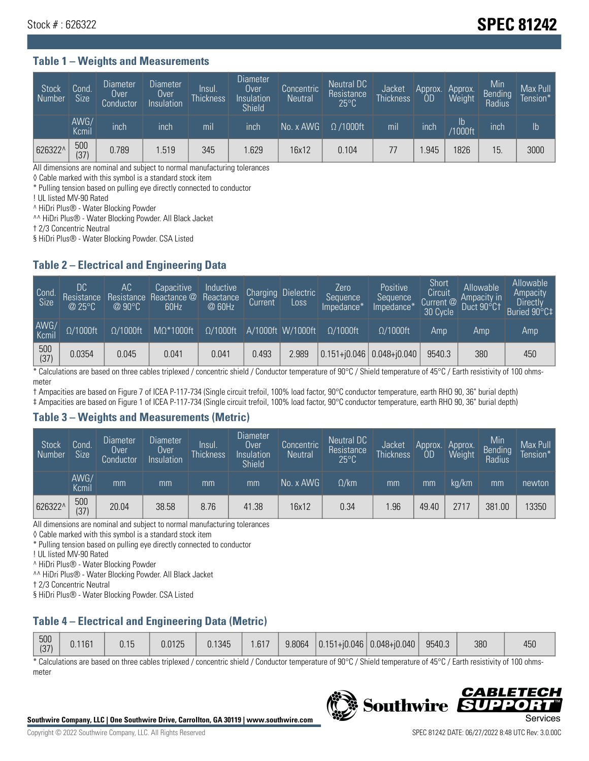## Stock # : 626322 **SPEC 81242**

#### **Table 1 – Weights and Measurements**

| <b>Stock</b><br>Number | Cond.<br>Size <sup>'</sup> | <b>Diameter</b><br>Over<br>Conductor | <b>Diameter</b><br>Over<br>Insulation | Insul.<br><b>Thickness</b> | Diameter<br>Over<br>Insulation<br><b>Shield</b> | Concentric<br><b>Neutral</b> | Neutral DC<br>Resistance<br>$25^{\circ}$ C | Jacket<br><b>Thickness</b> | Approx.<br><b>OD</b> | Approx.<br>Weight     | Min<br>Bending<br>Radius | Max Pull<br>Tension*' |
|------------------------|----------------------------|--------------------------------------|---------------------------------------|----------------------------|-------------------------------------------------|------------------------------|--------------------------------------------|----------------------------|----------------------|-----------------------|--------------------------|-----------------------|
|                        | AWG/<br>Kcmil              | inch                                 | inch                                  | mıl                        | inch                                            | No. x AWG                    | $\Omega$ /1000ft                           | mil                        | inch                 | lb.<br><b>Y1000ft</b> | inch                     | $\mathsf{lb}$         |
| 626322^                | 500<br>(37)                | 0.789                                | 1.519                                 | 345                        | .629                                            | 16x12                        | 0.104                                      | 77                         | .945                 | 1826                  | 15.                      | 3000                  |

All dimensions are nominal and subject to normal manufacturing tolerances

◊ Cable marked with this symbol is a standard stock item

\* Pulling tension based on pulling eye directly connected to conductor

! UL listed MV-90 Rated

^ HiDri Plus® - Water Blocking Powder

^^ HiDri Plus® - Water Blocking Powder. All Black Jacket

† 2/3 Concentric Neutral

§ HiDri Plus® - Water Blocking Powder. CSA Listed

## **Table 2 – Electrical and Engineering Data**

| Cond.<br>Size      | 'DC.<br>Resistance<br>$@$ 25°C $^{\prime\prime}$ | АC<br>Resistance<br>$\varpi$ 90°C | Capacitive<br>Reactance @<br>60Hz | Inductive<br>Reactance<br>@ 60Hz | <b>Charging</b><br>Current | <b>Dielectric</b><br>Loss | Zero<br>Sequence<br>Impedance* | Positive<br>Sequence<br>Impedance <sup>®</sup> | Short<br>Circuit<br>Current <sup>@</sup><br>30 Cycle | Allowable<br>Ampacity in<br>Duct 90°C1 | Allowable<br>Ampacity<br>Directly<br>Buried 90°C‡ |
|--------------------|--------------------------------------------------|-----------------------------------|-----------------------------------|----------------------------------|----------------------------|---------------------------|--------------------------------|------------------------------------------------|------------------------------------------------------|----------------------------------------|---------------------------------------------------|
| AWG/<br>Kcmil      | $\Omega/1000$ ft                                 | $\Omega/1000$ ft                  | $M\Omega^*1000$ ft                | $\Omega/1000$ ft                 |                            | A/1000ft W/1000ft         | $\Omega/1000$ ft               | $\Omega$ /1000ft                               | Amp                                                  | Amp                                    | Amp                                               |
| $\frac{500}{(37)}$ | 0.0354                                           | 0.045                             | 0.041                             | 0.041                            | 0.493                      | 2.989                     |                                | $0.151 + 0.046$ 0.048+0.040                    | 9540.3                                               | 380                                    | 450                                               |

\* Calculations are based on three cables triplexed / concentric shield / Conductor temperature of 90°C / Shield temperature of 45°C / Earth resistivity of 100 ohmsmeter

† Ampacities are based on Figure 7 of ICEA P-117-734 (Single circuit trefoil, 100% load factor, 90°C conductor temperature, earth RHO 90, 36" burial depth)

‡ Ampacities are based on Figure 1 of ICEA P-117-734 (Single circuit trefoil, 100% load factor, 90°C conductor temperature, earth RHO 90, 36" burial depth)

#### **Table 3 – Weights and Measurements (Metric)**

| Stock<br>Number | Cond.<br>Size <sup>1</sup> | <b>Diameter</b><br>Over<br>Conductor | <b>Diameter</b><br>Over<br>Insulation | Insul.<br><b>Thickness</b> | <b>Diameter</b><br>Over<br>Insulation<br><b>Shield</b> | Concentric<br>Neutral | Neutral DC<br>Resistance<br>$25^{\circ}$ C | Jacket<br><b>Thickness</b> | Approx.<br>0D | Approx.<br>Weight | Min<br>Bending<br>Radius | Max Pull<br>Tension* |
|-----------------|----------------------------|--------------------------------------|---------------------------------------|----------------------------|--------------------------------------------------------|-----------------------|--------------------------------------------|----------------------------|---------------|-------------------|--------------------------|----------------------|
|                 | AWG/<br>Kcmil              | mm                                   | mm                                    | mm                         | mm                                                     | No. x AWG             | $\Omega$ /km                               | mm                         | mm            | ka/km             | mm                       | newton               |
| 626322^         | 500<br>(37)                | 20.04                                | 38.58                                 | 8.76                       | 41.38                                                  | 16x12                 | 0.34                                       | .96                        | 49.40         | 2717              | 381.00                   | 13350                |

All dimensions are nominal and subject to normal manufacturing tolerances

◊ Cable marked with this symbol is a standard stock item

\* Pulling tension based on pulling eye directly connected to conductor

! UL listed MV-90 Rated

^ HiDri Plus® - Water Blocking Powder

^^ HiDri Plus® - Water Blocking Powder. All Black Jacket

† 2/3 Concentric Neutral

§ HiDri Plus® - Water Blocking Powder. CSA Listed

## **Table 4 – Electrical and Engineering Data (Metric)**

| 500<br>(37) | 0.1161 | 0.15<br>U. 15 | 0.0125 | 0.1345 | .617 | 9.8064 |  | $ 0.151 + 0.046 0.048 + 0.040 $ | 9540.3 | 380 | 450 |
|-------------|--------|---------------|--------|--------|------|--------|--|---------------------------------|--------|-----|-----|
|-------------|--------|---------------|--------|--------|------|--------|--|---------------------------------|--------|-----|-----|

\* Calculations are based on three cables triplexed / concentric shield / Conductor temperature of 90°C / Shield temperature of 45°C / Earth resistivity of 100 ohmsmeter



**Southwire** 

*CABLE*